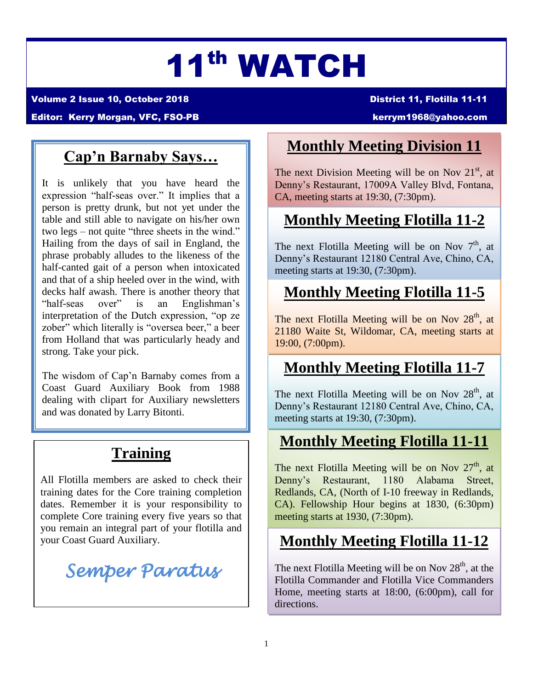# 11th WATCH

Volume 2 Issue 10, October 2018 District 11, Flotilla 11-11

editor: Kerry Morgan, VFC, FSO-PB [kerrym1968@yahoo.com](mailto:kerrym1968@yahoo.com)

# **Cap'n Barnaby Says…**

It is unlikely that you have heard the expression "half-seas over." It implies that a person is pretty drunk, but not yet under the table and still able to navigate on his/her own two legs – not quite "three sheets in the wind." Hailing from the days of sail in England, the phrase probably alludes to the likeness of the half-canted gait of a person when intoxicated and that of a ship heeled over in the wind, with decks half awash. There is another theory that "half-seas over" is an Englishman's interpretation of the Dutch expression, "op ze zober" which literally is "oversea beer," a beer from Holland that was particularly heady and strong. Take your pick.

The wisdom of Cap'n Barnaby comes from a Coast Guard Auxiliary Book from 1988 dealing with clipart for Auxiliary newsletters and was donated by Larry Bitonti.

# **Training**

All Flotilla members are asked to check their training dates for the Core training completion dates. Remember it is your responsibility to complete Core training every five years so that you remain an integral part of your flotilla and your Coast Guard Auxiliary.

*Semper Paratus* 

## **Monthly Meeting Division 11**

The next Division Meeting will be on Nov  $21<sup>st</sup>$ , at Denny's Restaurant, 17009A Valley Blvd, Fontana, CA, meeting starts at 19:30, (7:30pm).

# **Monthly Meeting Flotilla 11-2**

The next Flotilla Meeting will be on Nov  $7<sup>th</sup>$ , at Denny's Restaurant 12180 Central Ave, Chino, CA, meeting starts at 19:30, (7:30pm).

# **Monthly Meeting Flotilla 11-5**

The next Flotilla Meeting will be on Nov  $28<sup>th</sup>$ , at 21180 Waite St, Wildomar, CA, meeting starts at 19:00, (7:00pm).

### **Monthly Meeting Flotilla 11-7**

The next Flotilla Meeting will be on Nov  $28<sup>th</sup>$ , at Denny's Restaurant 12180 Central Ave, Chino, CA, meeting starts at 19:30, (7:30pm).

### **Monthly Meeting Flotilla 11-11**

The next Flotilla Meeting will be on Nov  $27<sup>th</sup>$ , at Denny's Restaurant, 1180 Alabama Street, Redlands, CA, (North of I-10 freeway in Redlands, CA). Fellowship Hour begins at 1830, (6:30pm) meeting starts at 1930, (7:30pm).

# **Monthly Meeting Flotilla 11-12**

The next Flotilla Meeting will be on Nov  $28<sup>th</sup>$ , at the Flotilla Commander and Flotilla Vice Commanders Home, meeting starts at 18:00, (6:00pm), call for directions.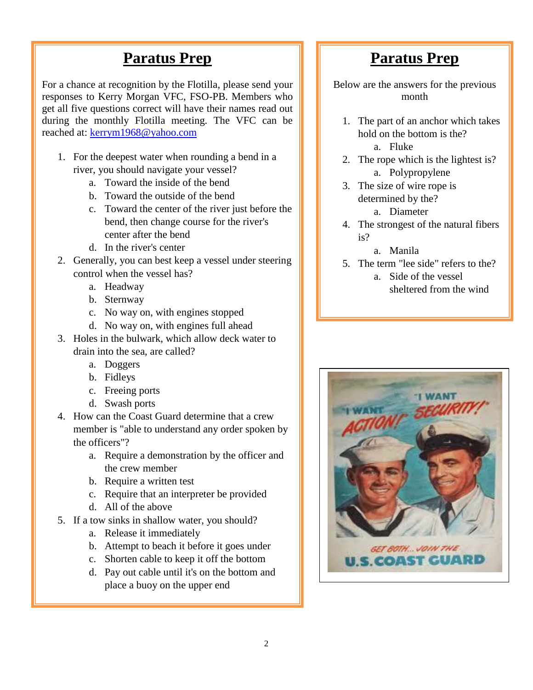#### **Paratus Prep**

For a chance at recognition by the Flotilla, please send your responses to Kerry Morgan VFC, FSO-PB. Members who get all five questions correct will have their names read out during the monthly Flotilla meeting. The VFC can be reached at: [kerrym1968@yahoo.com](mailto:kerrym1968@yahoo.com)

- 1. For the deepest water when rounding a bend in a river, you should navigate your vessel?
	- a. Toward the inside of the bend
	- b. Toward the outside of the bend
	- c. Toward the center of the river just before the bend, then change course for the river's center after the bend
	- d. In the river's center
- 2. Generally, you can best keep a vessel under steering control when the vessel has?
	- a. Headway
	- b. Sternway
	- c. No way on, with engines stopped
	- d. No way on, with engines full ahead
- 3. Holes in the bulwark, which allow deck water to drain into the sea, are called?
	- a. Doggers
	- b. Fidleys
	- c. Freeing ports
	- d. Swash ports
- 4. How can the Coast Guard determine that a crew member is "able to understand any order spoken by the officers"?
	- a. Require a demonstration by the officer and the crew member
	- b. Require a written test
	- c. Require that an interpreter be provided
	- d. All of the above
- 5. If a tow sinks in shallow water, you should?
	- a. Release it immediately
	- b. Attempt to beach it before it goes under
	- c. Shorten cable to keep it off the bottom
	- d. Pay out cable until it's on the bottom and place a buoy on the upper end

### **Paratus Prep**

Below are the answers for the previous month

- 1. The part of an anchor which takes hold on the bottom is the? a. Fluke
- 2. The rope which is the lightest is? a. Polypropylene
- 3. The size of wire rope is determined by the? a. Diameter
- 4. The strongest of the natural fibers is?
	- a. Manila
- 5. The term "lee side" refers to the? a. Side of the vessel

sheltered from the wind

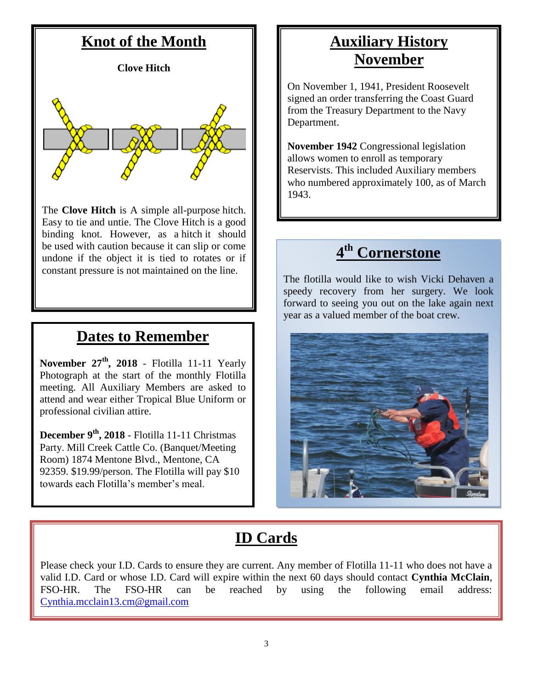#### **Knot of the Month**

**Clove Hitch**



The **Clove Hitch** is A simple all-purpose hitch. Easy to tie and untie. The Clove Hitch is a good binding knot. However, as a hitch it should be used with caution because it can slip or come undone if the object it is tied to rotates or if constant pressure is not maintained on the line.

#### **Dates to Remember**

**November 27th, 2018** - Flotilla 11-11 Yearly Photograph at the start of the monthly Flotilla meeting. All Auxiliary Members are asked to attend and wear either Tropical Blue Uniform or professional civilian attire.

**December 9th, 2018** - Flotilla 11-11 Christmas Party. Mill Creek Cattle Co. (Banquet/Meeting Room) 1874 Mentone Blvd., Mentone, CA 92359. \$19.99/person. The Flotilla will pay \$10 towards each Flotilla's member's meal.

#### **Auxiliary History November**

On November 1, 1941, President Roosevelt signed an order transferring the Coast Guard from the Treasury Department to the Navy Department.

**November 1942** Congressional legislation allows women to enroll as temporary Reservists. This included Auxiliary members who numbered approximately 100, as of March 1943.

#### **4 th Cornerstone**

The flotilla would like to wish Vicki Dehaven a speedy recovery from her surgery. We look forward to seeing you out on the lake again next year as a valued member of the boat crew.



# **ID Cards**

Please check your I.D. Cards to ensure they are current. Any member of Flotilla 11-11 who does not have a valid I.D. Card or whose I.D. Card will expire within the next 60 days should contact **Cynthia McClain**, FSO-HR. The FSO-HR can be reached by using the following email address: [Cynthia.mcclain13.cm@gmail.com](mailto:Cynthia.mcclain13.cm@gmail.com)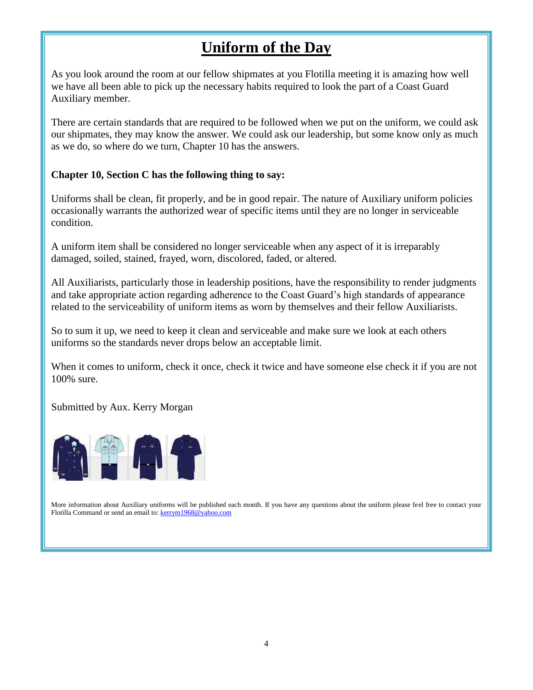## **Uniform of the Day**

As you look around the room at our fellow shipmates at you Flotilla meeting it is amazing how well we have all been able to pick up the necessary habits required to look the part of a Coast Guard Auxiliary member.

There are certain standards that are required to be followed when we put on the uniform, we could ask our shipmates, they may know the answer. We could ask our leadership, but some know only as much as we do, so where do we turn, Chapter 10 has the answers.

#### **Chapter 10, Section C has the following thing to say:**

Uniforms shall be clean, fit properly, and be in good repair. The nature of Auxiliary uniform policies occasionally warrants the authorized wear of specific items until they are no longer in serviceable condition.

A uniform item shall be considered no longer serviceable when any aspect of it is irreparably damaged, soiled, stained, frayed, worn, discolored, faded, or altered.

All Auxiliarists, particularly those in leadership positions, have the responsibility to render judgments and take appropriate action regarding adherence to the Coast Guard's high standards of appearance related to the serviceability of uniform items as worn by themselves and their fellow Auxiliarists.

So to sum it up, we need to keep it clean and serviceable and make sure we look at each others uniforms so the standards never drops below an acceptable limit.

When it comes to uniform, check it once, check it twice and have someone else check it if you are not 100% sure.

Submitted by Aux. Kerry Morgan



More information about Auxiliary uniforms will be published each month. If you have any questions about the uniform please feel free to contact your Flotilla Command or send an email to[: kerrym1968@yahoo.com](mailto:kerrym1968@yahoo.com)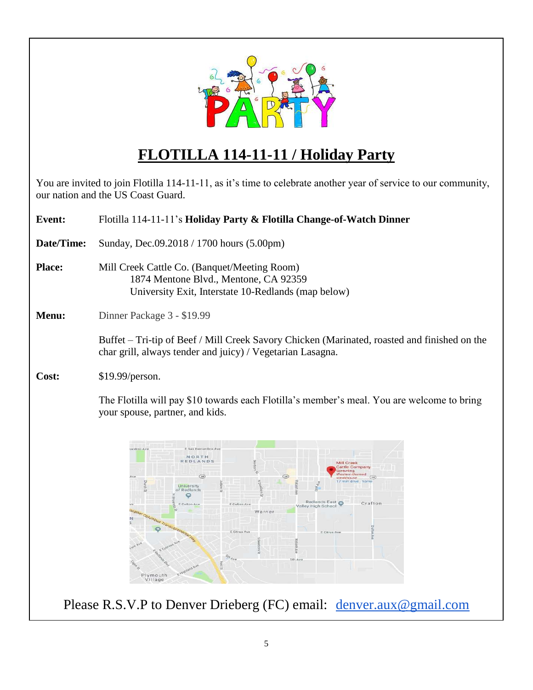

# **FLOTILLA 114-11-11 / Holiday Party**

You are invited to join Flotilla 114-11-11, as it's time to celebrate another year of service to our community, our nation and the US Coast Guard.

| <b>Event:</b> | Flotilla 114-11-11's Holiday Party & Flotilla Change-of-Watch Dinner                                                                                                                                                                                                                                                                                                               |
|---------------|------------------------------------------------------------------------------------------------------------------------------------------------------------------------------------------------------------------------------------------------------------------------------------------------------------------------------------------------------------------------------------|
| Date/Time:    | Sunday, Dec.09.2018 / 1700 hours (5.00pm)                                                                                                                                                                                                                                                                                                                                          |
| <b>Place:</b> | Mill Creek Cattle Co. (Banquet/Meeting Room)<br>1874 Mentone Blvd., Mentone, CA 92359<br>University Exit, Interstate 10-Redlands (map below)                                                                                                                                                                                                                                       |
| Menu:         | Dinner Package 3 - \$19.99                                                                                                                                                                                                                                                                                                                                                         |
|               | Buffet – Tri-tip of Beef / Mill Creek Savory Chicken (Marinated, roasted and finished on the<br>char grill, always tender and juicy) / Vegetarian Lasagna.                                                                                                                                                                                                                         |
| Cost:         | \$19.99/person.                                                                                                                                                                                                                                                                                                                                                                    |
|               | The Flotilla will pay \$10 towards each Flotilla's member's meal. You are welcome to bring<br>your spouse, partner, and kids.                                                                                                                                                                                                                                                      |
|               | E San Bernardino Av<br>ardino Ave<br>NORTH<br>EDLANDS<br>Mill Creek<br><b>Cattle Company</b><br>Western-themed<br>(38)<br>(38)<br>(38)<br>steakhouse<br>7 min drive<br>University<br>of Redlands<br>O<br>Redlands East<br>Crafton<br>E Colton Ave<br>E Colton Ave<br>Valley High School<br>Warner<br>E Citrus Ave<br>E Citrus Ave<br><b>Sth Ave</b><br>ping<br>Plymouth<br>Village |
|               | Please R.S.V.P to Denver Drieberg (FC) email: <u>denver.aux@gmail.com</u>                                                                                                                                                                                                                                                                                                          |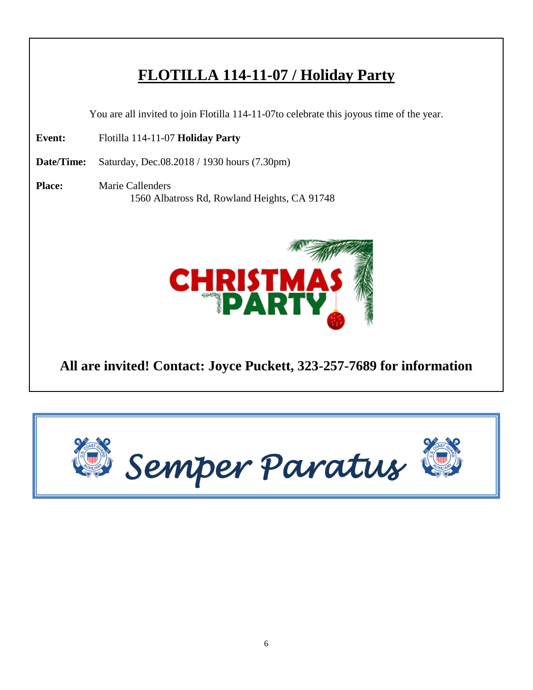## **FLOTILLA 114-11-07 / Holiday Party**

You are all invited to join Flotilla 114-11-07to celebrate this joyous time of the year.

**Event:** Flotilla 114-11-07 **Holiday Party** 

**Date/Time:** Saturday, Dec.08.2018 / 1930 hours (7.30pm)

**Place:** Marie Callenders 1560 Albatross Rd, Rowland Heights, CA 91748



#### **All are invited! Contact: Joyce Puckett, 323-257-7689 for information**